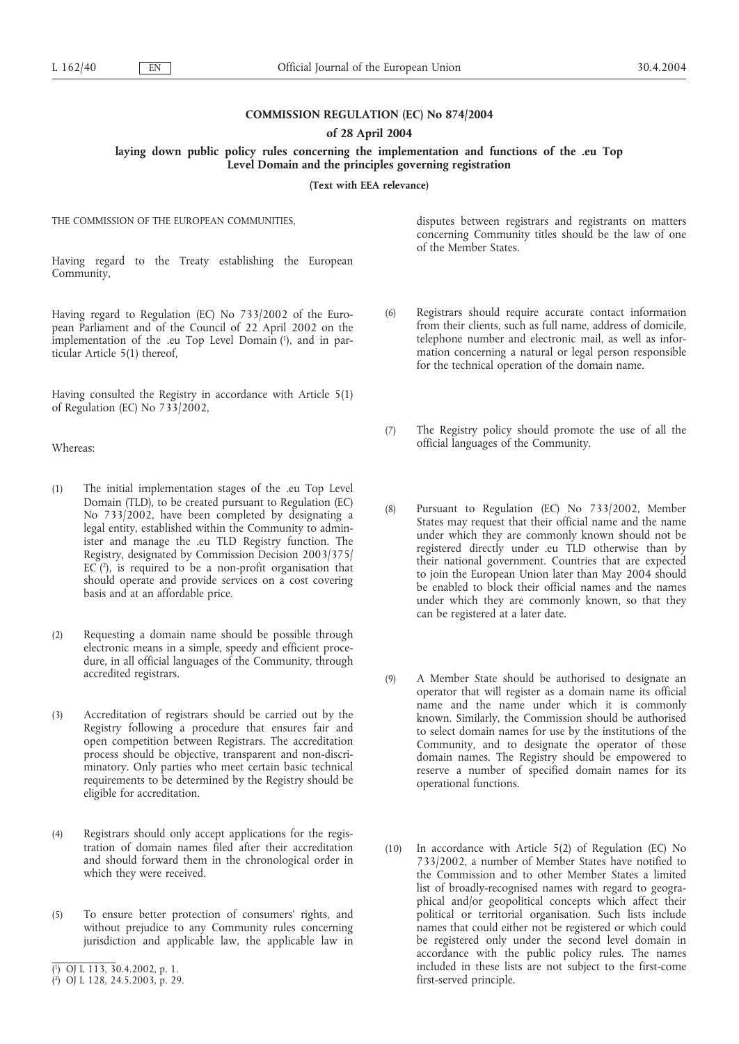# **COMMISSION REGULATION (EC) No 874/2004**

**of 28 April 2004**

**laying down public policy rules concerning the implementation and functions of the .eu Top Level Domain and the principles governing registration**

**(Text with EEA relevance)**

THE COMMISSION OF THE EUROPEAN COMMUNITIES,

Having regard to the Treaty establishing the European Community,

Having regard to Regulation (EC) No 733/2002 of the European Parliament and of the Council of 22 April 2002 on the implementation of the .eu Top Level Domain (1), and in particular Article 5(1) thereof,

Having consulted the Registry in accordance with Article 5(1) of Regulation (EC) No 733/2002,

Whereas:

- (1) The initial implementation stages of the .eu Top Level Domain (TLD), to be created pursuant to Regulation (EC) No 733/2002, have been completed by designating a legal entity, established within the Community to administer and manage the .eu TLD Registry function. The Registry, designated by Commission Decision 2003/375/ EC (2 ), is required to be a non-profit organisation that should operate and provide services on a cost covering basis and at an affordable price.
- (2) Requesting a domain name should be possible through electronic means in a simple, speedy and efficient procedure, in all official languages of the Community, through accredited registrars.
- (3) Accreditation of registrars should be carried out by the Registry following a procedure that ensures fair and open competition between Registrars. The accreditation process should be objective, transparent and non-discriminatory. Only parties who meet certain basic technical requirements to be determined by the Registry should be eligible for accreditation.
- (4) Registrars should only accept applications for the registration of domain names filed after their accreditation and should forward them in the chronological order in which they were received.
- (5) To ensure better protection of consumers' rights, and without prejudice to any Community rules concerning jurisdiction and applicable law, the applicable law in

disputes between registrars and registrants on matters concerning Community titles should be the law of one of the Member States.

- (6) Registrars should require accurate contact information from their clients, such as full name, address of domicile, telephone number and electronic mail, as well as information concerning a natural or legal person responsible for the technical operation of the domain name.
- (7) The Registry policy should promote the use of all the official languages of the Community.
- (8) Pursuant to Regulation (EC) No 733/2002, Member States may request that their official name and the name under which they are commonly known should not be registered directly under .eu TLD otherwise than by their national government. Countries that are expected to join the European Union later than May 2004 should be enabled to block their official names and the names under which they are commonly known, so that they can be registered at a later date.
- (9) A Member State should be authorised to designate an operator that will register as a domain name its official name and the name under which it is commonly known. Similarly, the Commission should be authorised to select domain names for use by the institutions of the Community, and to designate the operator of those domain names. The Registry should be empowered to reserve a number of specified domain names for its operational functions.
- (10) In accordance with Article 5(2) of Regulation (EC) No 733/2002, a number of Member States have notified to the Commission and to other Member States a limited list of broadly-recognised names with regard to geographical and/or geopolitical concepts which affect their political or territorial organisation. Such lists include names that could either not be registered or which could be registered only under the second level domain in accordance with the public policy rules. The names included in these lists are not subject to the first-come first-served principle.

<sup>(</sup> 1 ) OJ L 113, 30.4.2002, p. 1.

<sup>(</sup> 2 ) OJ L 128, 24.5.2003, p. 29.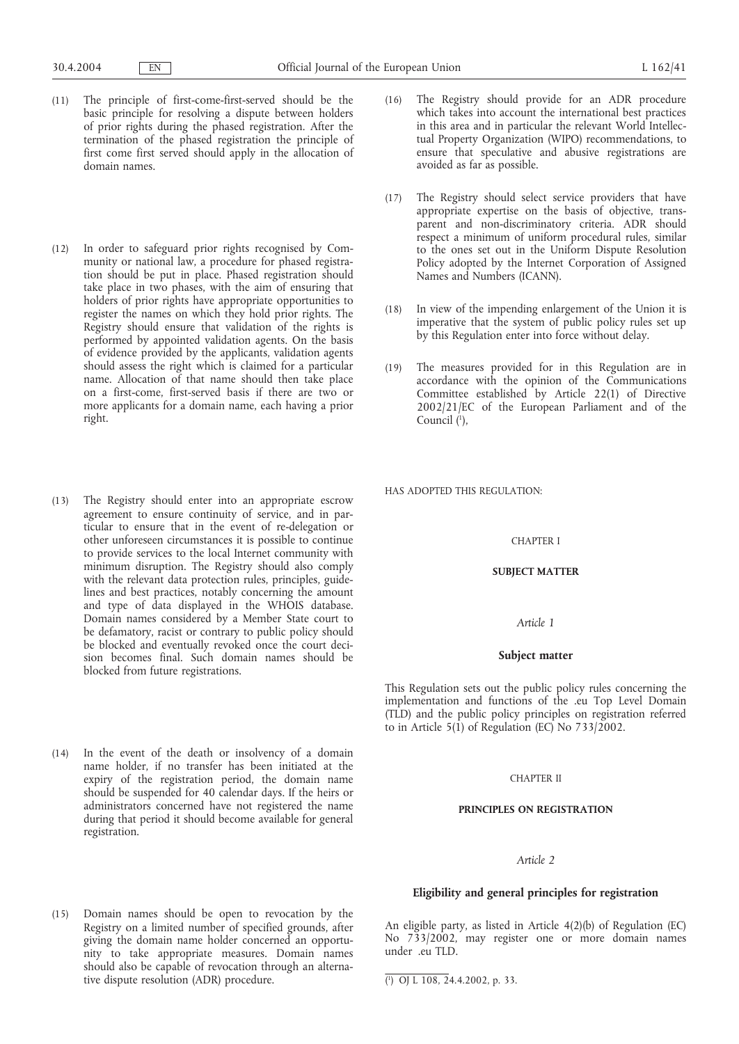- (11) The principle of first-come-first-served should be the basic principle for resolving a dispute between holders of prior rights during the phased registration. After the termination of the phased registration the principle of first come first served should apply in the allocation of domain names.
- (12) In order to safeguard prior rights recognised by Community or national law, a procedure for phased registration should be put in place. Phased registration should take place in two phases, with the aim of ensuring that holders of prior rights have appropriate opportunities to register the names on which they hold prior rights. The Registry should ensure that validation of the rights is performed by appointed validation agents. On the basis of evidence provided by the applicants, validation agents should assess the right which is claimed for a particular name. Allocation of that name should then take place on a first-come, first-served basis if there are two or more applicants for a domain name, each having a prior right.
- (13) The Registry should enter into an appropriate escrow agreement to ensure continuity of service, and in particular to ensure that in the event of re-delegation or other unforeseen circumstances it is possible to continue to provide services to the local Internet community with minimum disruption. The Registry should also comply with the relevant data protection rules, principles, guidelines and best practices, notably concerning the amount and type of data displayed in the WHOIS database. Domain names considered by a Member State court to be defamatory, racist or contrary to public policy should be blocked and eventually revoked once the court decision becomes final. Such domain names should be blocked from future registrations.
- (14) In the event of the death or insolvency of a domain name holder, if no transfer has been initiated at the expiry of the registration period, the domain name should be suspended for 40 calendar days. If the heirs or administrators concerned have not registered the name during that period it should become available for general registration.
- (16) The Registry should provide for an ADR procedure which takes into account the international best practices in this area and in particular the relevant World Intellectual Property Organization (WIPO) recommendations, to ensure that speculative and abusive registrations are avoided as far as possible.
- (17) The Registry should select service providers that have appropriate expertise on the basis of objective, transparent and non-discriminatory criteria. ADR should respect a minimum of uniform procedural rules, similar to the ones set out in the Uniform Dispute Resolution Policy adopted by the Internet Corporation of Assigned Names and Numbers (ICANN).
- (18) In view of the impending enlargement of the Union it is imperative that the system of public policy rules set up by this Regulation enter into force without delay.
- (19) The measures provided for in this Regulation are in accordance with the opinion of the Communications Committee established by Article 22(1) of Directive 2002/21/EC of the European Parliament and of the Council (<sup>1</sup>),

HAS ADOPTED THIS REGULATION:

### CHAPTER I

### **SUBJECT MATTER**

## *Article 1*

#### **Subject matter**

This Regulation sets out the public policy rules concerning the implementation and functions of the .eu Top Level Domain (TLD) and the public policy principles on registration referred to in Article 5(1) of Regulation (EC) No  $733/2002$ .

# CHAPTER II

# **PRINCIPLES ON REGISTRATION**

## *Article 2*

### **Eligibility and general principles for registration**

An eligible party, as listed in Article 4(2)(b) of Regulation (EC) No 733/2002, may register one or more domain names under .eu TLD.

(15) Domain names should be open to revocation by the Registry on a limited number of specified grounds, after giving the domain name holder concerned an opportunity to take appropriate measures. Domain names should also be capable of revocation through an alternative dispute resolution (ADR) procedure.

<sup>(</sup> 1 ) OJ L 108, 24.4.2002, p. 33.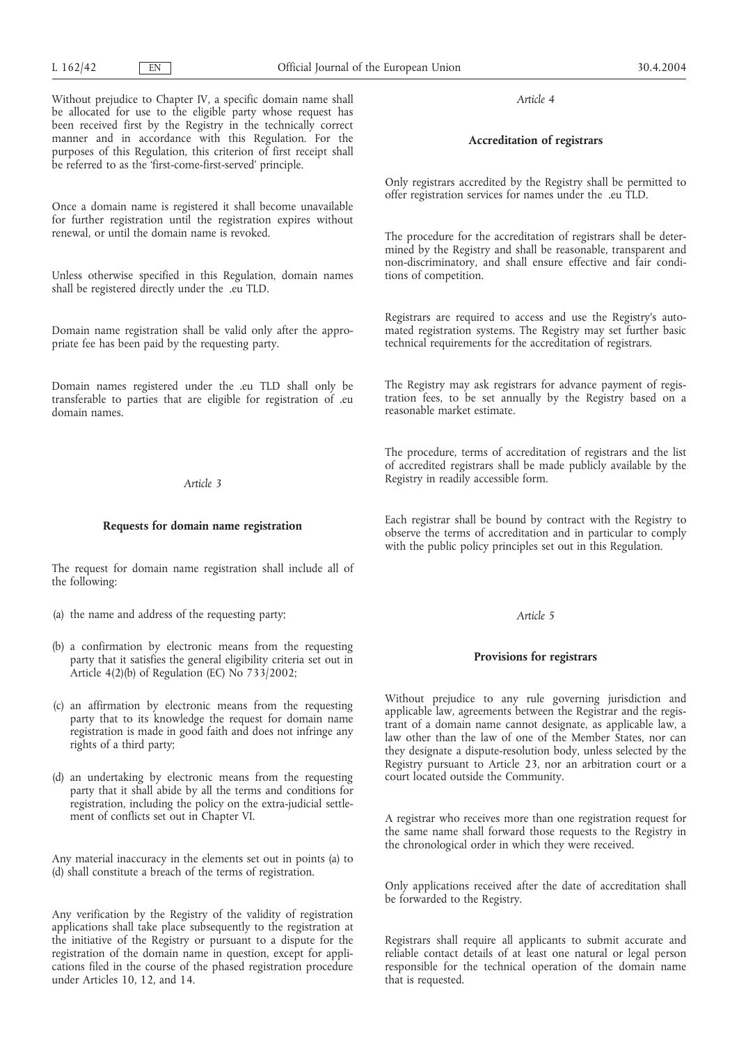Without prejudice to Chapter IV, a specific domain name shall be allocated for use to the eligible party whose request has been received first by the Registry in the technically correct manner and in accordance with this Regulation. For the purposes of this Regulation, this criterion of first receipt shall be referred to as the 'first-come-first-served' principle.

Once a domain name is registered it shall become unavailable for further registration until the registration expires without renewal, or until the domain name is revoked.

Unless otherwise specified in this Regulation, domain names shall be registered directly under the .eu TLD.

Domain name registration shall be valid only after the appropriate fee has been paid by the requesting party.

Domain names registered under the .eu TLD shall only be transferable to parties that are eligible for registration of .eu domain names.

# *Article 3*

## **Requests for domain name registration**

The request for domain name registration shall include all of the following:

- (a) the name and address of the requesting party;
- (b) a confirmation by electronic means from the requesting party that it satisfies the general eligibility criteria set out in Article  $4(2)(b)$  of Regulation (EC) No  $733/2002$ ;
- (c) an affirmation by electronic means from the requesting party that to its knowledge the request for domain name registration is made in good faith and does not infringe any rights of a third party;
- (d) an undertaking by electronic means from the requesting party that it shall abide by all the terms and conditions for registration, including the policy on the extra-judicial settlement of conflicts set out in Chapter VI.

Any material inaccuracy in the elements set out in points (a) to (d) shall constitute a breach of the terms of registration.

Any verification by the Registry of the validity of registration applications shall take place subsequently to the registration at the initiative of the Registry or pursuant to a dispute for the registration of the domain name in question, except for applications filed in the course of the phased registration procedure under Articles 10, 12, and 14.

*Article 4*

# **Accreditation of registrars**

Only registrars accredited by the Registry shall be permitted to offer registration services for names under the .eu TLD.

The procedure for the accreditation of registrars shall be determined by the Registry and shall be reasonable, transparent and non-discriminatory, and shall ensure effective and fair conditions of competition.

Registrars are required to access and use the Registry's automated registration systems. The Registry may set further basic technical requirements for the accreditation of registrars.

The Registry may ask registrars for advance payment of registration fees, to be set annually by the Registry based on a reasonable market estimate.

The procedure, terms of accreditation of registrars and the list of accredited registrars shall be made publicly available by the Registry in readily accessible form.

Each registrar shall be bound by contract with the Registry to observe the terms of accreditation and in particular to comply with the public policy principles set out in this Regulation.

### *Article 5*

### **Provisions for registrars**

Without prejudice to any rule governing jurisdiction and applicable law, agreements between the Registrar and the registrant of a domain name cannot designate, as applicable law, a law other than the law of one of the Member States, nor can they designate a dispute-resolution body, unless selected by the Registry pursuant to Article 23, nor an arbitration court or a court located outside the Community.

A registrar who receives more than one registration request for the same name shall forward those requests to the Registry in the chronological order in which they were received.

Only applications received after the date of accreditation shall be forwarded to the Registry.

Registrars shall require all applicants to submit accurate and reliable contact details of at least one natural or legal person responsible for the technical operation of the domain name that is requested.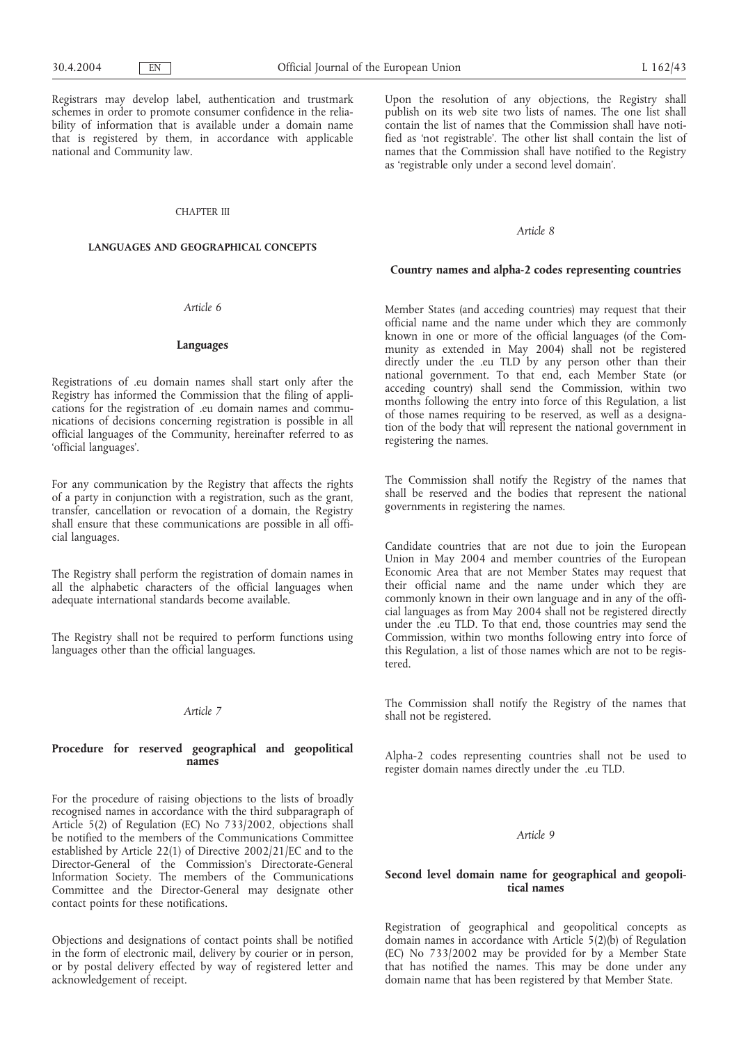Registrars may develop label, authentication and trustmark schemes in order to promote consumer confidence in the reliability of information that is available under a domain name that is registered by them, in accordance with applicable national and Community law.

## CHAPTER III

## **LANGUAGES AND GEOGRAPHICAL CONCEPTS**

# *Article 6*

## **Languages**

Registrations of .eu domain names shall start only after the Registry has informed the Commission that the filing of applications for the registration of .eu domain names and communications of decisions concerning registration is possible in all official languages of the Community, hereinafter referred to as 'official languages'.

For any communication by the Registry that affects the rights of a party in conjunction with a registration, such as the grant, transfer, cancellation or revocation of a domain, the Registry shall ensure that these communications are possible in all official languages.

The Registry shall perform the registration of domain names in all the alphabetic characters of the official languages when adequate international standards become available.

The Registry shall not be required to perform functions using languages other than the official languages.

# *Article 7*

# **Procedure for reserved geographical and geopolitical names**

For the procedure of raising objections to the lists of broadly recognised names in accordance with the third subparagraph of Article 5(2) of Regulation (EC) No 733/2002, objections shall be notified to the members of the Communications Committee established by Article 22(1) of Directive 2002/21/EC and to the Director-General of the Commission's Directorate-General Information Society. The members of the Communications Committee and the Director-General may designate other contact points for these notifications.

Objections and designations of contact points shall be notified in the form of electronic mail, delivery by courier or in person, or by postal delivery effected by way of registered letter and acknowledgement of receipt.

Upon the resolution of any objections, the Registry shall publish on its web site two lists of names. The one list shall contain the list of names that the Commission shall have notified as 'not registrable'. The other list shall contain the list of names that the Commission shall have notified to the Registry as 'registrable only under a second level domain'.

#### *Article 8*

### **Country names and alpha-2 codes representing countries**

Member States (and acceding countries) may request that their official name and the name under which they are commonly known in one or more of the official languages (of the Community as extended in May 2004) shall not be registered directly under the .eu TLD by any person other than their national government. To that end, each Member State (or acceding country) shall send the Commission, within two months following the entry into force of this Regulation, a list of those names requiring to be reserved, as well as a designation of the body that will represent the national government in registering the names.

The Commission shall notify the Registry of the names that shall be reserved and the bodies that represent the national governments in registering the names.

Candidate countries that are not due to join the European Union in May 2004 and member countries of the European Economic Area that are not Member States may request that their official name and the name under which they are commonly known in their own language and in any of the official languages as from May 2004 shall not be registered directly under the .eu TLD. To that end, those countries may send the Commission, within two months following entry into force of this Regulation, a list of those names which are not to be registered.

The Commission shall notify the Registry of the names that shall not be registered.

Alpha-2 codes representing countries shall not be used to register domain names directly under the .eu TLD.

### *Article 9*

# **Second level domain name for geographical and geopolitical names**

Registration of geographical and geopolitical concepts as domain names in accordance with Article 5(2)(b) of Regulation (EC) No 733/2002 may be provided for by a Member State that has notified the names. This may be done under any domain name that has been registered by that Member State.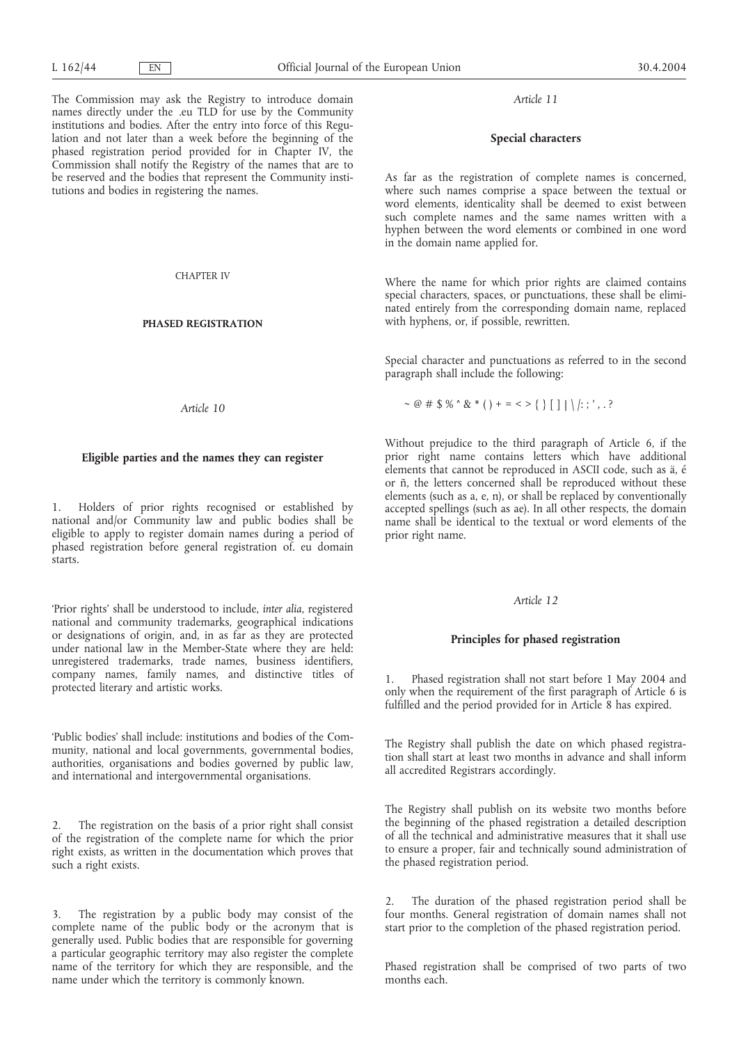The Commission may ask the Registry to introduce domain names directly under the .eu TLD for use by the Community institutions and bodies. After the entry into force of this Regulation and not later than a week before the beginning of the phased registration period provided for in Chapter IV, the Commission shall notify the Registry of the names that are to be reserved and the bodies that represent the Community institutions and bodies in registering the names.

CHAPTER IV

### **PHASED REGISTRATION**

# *Article 10*

### **Eligible parties and the names they can register**

1. Holders of prior rights recognised or established by national and/or Community law and public bodies shall be eligible to apply to register domain names during a period of phased registration before general registration of. eu domain starts.

'Prior rights' shall be understood to include, *inter alia*, registered national and community trademarks, geographical indications or designations of origin, and, in as far as they are protected under national law in the Member-State where they are held: unregistered trademarks, trade names, business identifiers, company names, family names, and distinctive titles of protected literary and artistic works.

'Public bodies' shall include: institutions and bodies of the Community, national and local governments, governmental bodies, authorities, organisations and bodies governed by public law, and international and intergovernmental organisations.

2. The registration on the basis of a prior right shall consist of the registration of the complete name for which the prior right exists, as written in the documentation which proves that such a right exists.

The registration by a public body may consist of the complete name of the public body or the acronym that is generally used. Public bodies that are responsible for governing a particular geographic territory may also register the complete name of the territory for which they are responsible, and the name under which the territory is commonly known.

# *Article 11*

#### **Special characters**

As far as the registration of complete names is concerned, where such names comprise a space between the textual or word elements, identicality shall be deemed to exist between such complete names and the same names written with a hyphen between the word elements or combined in one word in the domain name applied for.

Where the name for which prior rights are claimed contains special characters, spaces, or punctuations, these shall be eliminated entirely from the corresponding domain name, replaced with hyphens, or, if possible, rewritten.

Special character and punctuations as referred to in the second paragraph shall include the following:

~ @ #  $$ %^{\circ}$  & \* () + = < > { } [ ] | \ /: ; ', . ?

Without prejudice to the third paragraph of Article 6, if the prior right name contains letters which have additional elements that cannot be reproduced in ASCII code, such as ä, é or ñ, the letters concerned shall be reproduced without these elements (such as a, e, n), or shall be replaced by conventionally accepted spellings (such as ae). In all other respects, the domain name shall be identical to the textual or word elements of the prior right name.

#### *Article 12*

#### **Principles for phased registration**

1. Phased registration shall not start before 1 May 2004 and only when the requirement of the first paragraph of Article 6 is fulfilled and the period provided for in Article 8 has expired.

The Registry shall publish the date on which phased registration shall start at least two months in advance and shall inform all accredited Registrars accordingly.

The Registry shall publish on its website two months before the beginning of the phased registration a detailed description of all the technical and administrative measures that it shall use to ensure a proper, fair and technically sound administration of the phased registration period.

2. The duration of the phased registration period shall be four months. General registration of domain names shall not start prior to the completion of the phased registration period.

Phased registration shall be comprised of two parts of two months each.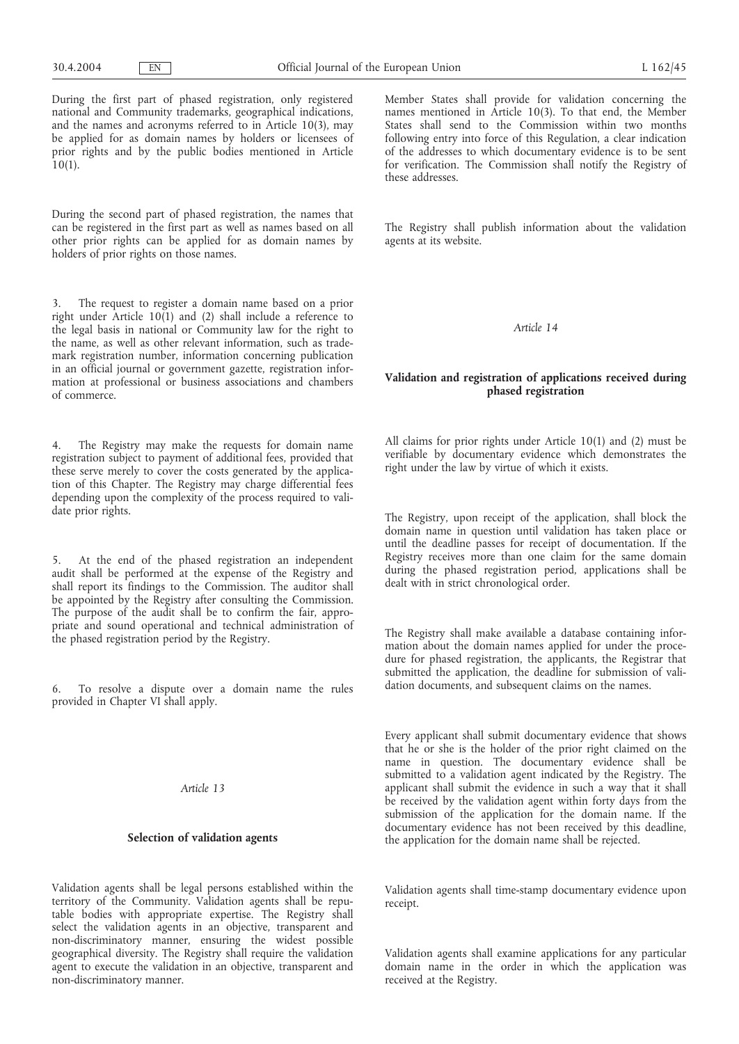During the first part of phased registration, only registered national and Community trademarks, geographical indications, and the names and acronyms referred to in Article 10(3), may be applied for as domain names by holders or licensees of prior rights and by the public bodies mentioned in Article 10(1).

During the second part of phased registration, the names that can be registered in the first part as well as names based on all other prior rights can be applied for as domain names by holders of prior rights on those names.

3. The request to register a domain name based on a prior right under Article 10(1) and (2) shall include a reference to the legal basis in national or Community law for the right to the name, as well as other relevant information, such as trademark registration number, information concerning publication in an official journal or government gazette, registration information at professional or business associations and chambers of commerce.

4. The Registry may make the requests for domain name registration subject to payment of additional fees, provided that these serve merely to cover the costs generated by the application of this Chapter. The Registry may charge differential fees depending upon the complexity of the process required to validate prior rights.

5. At the end of the phased registration an independent audit shall be performed at the expense of the Registry and shall report its findings to the Commission. The auditor shall be appointed by the Registry after consulting the Commission. The purpose of the audit shall be to confirm the fair, appropriate and sound operational and technical administration of the phased registration period by the Registry.

6. To resolve a dispute over a domain name the rules provided in Chapter VI shall apply.

### *Article 13*

## **Selection of validation agents**

Validation agents shall be legal persons established within the territory of the Community. Validation agents shall be reputable bodies with appropriate expertise. The Registry shall select the validation agents in an objective, transparent and non-discriminatory manner, ensuring the widest possible geographical diversity. The Registry shall require the validation agent to execute the validation in an objective, transparent and non-discriminatory manner.

Member States shall provide for validation concerning the names mentioned in Article 10(3). To that end, the Member States shall send to the Commission within two months following entry into force of this Regulation, a clear indication of the addresses to which documentary evidence is to be sent for verification. The Commission shall notify the Registry of these addresses.

The Registry shall publish information about the validation agents at its website.

*Article 14*

# **Validation and registration of applications received during phased registration**

All claims for prior rights under Article 10(1) and (2) must be verifiable by documentary evidence which demonstrates the right under the law by virtue of which it exists.

The Registry, upon receipt of the application, shall block the domain name in question until validation has taken place or until the deadline passes for receipt of documentation. If the Registry receives more than one claim for the same domain during the phased registration period, applications shall be dealt with in strict chronological order.

The Registry shall make available a database containing information about the domain names applied for under the procedure for phased registration, the applicants, the Registrar that submitted the application, the deadline for submission of validation documents, and subsequent claims on the names.

Every applicant shall submit documentary evidence that shows that he or she is the holder of the prior right claimed on the name in question. The documentary evidence shall be submitted to a validation agent indicated by the Registry. The applicant shall submit the evidence in such a way that it shall be received by the validation agent within forty days from the submission of the application for the domain name. If the documentary evidence has not been received by this deadline, the application for the domain name shall be rejected.

Validation agents shall time-stamp documentary evidence upon receipt.

Validation agents shall examine applications for any particular domain name in the order in which the application was received at the Registry.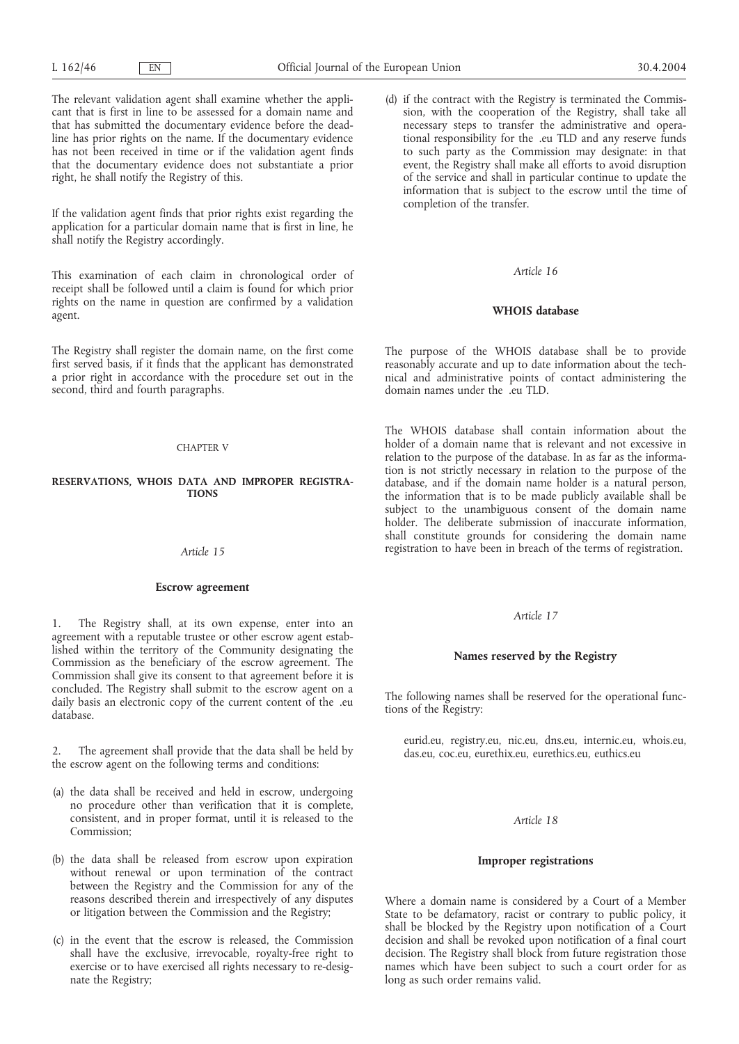The relevant validation agent shall examine whether the applicant that is first in line to be assessed for a domain name and that has submitted the documentary evidence before the deadline has prior rights on the name. If the documentary evidence has not been received in time or if the validation agent finds that the documentary evidence does not substantiate a prior right, he shall notify the Registry of this.

If the validation agent finds that prior rights exist regarding the application for a particular domain name that is first in line, he shall notify the Registry accordingly.

This examination of each claim in chronological order of receipt shall be followed until a claim is found for which prior rights on the name in question are confirmed by a validation agent.

The Registry shall register the domain name, on the first come first served basis, if it finds that the applicant has demonstrated a prior right in accordance with the procedure set out in the second, third and fourth paragraphs.

#### CHAPTER V

#### **RESERVATIONS, WHOIS DATA AND IMPROPER REGISTRA-TIONS**

### *Article 15*

#### **Escrow agreement**

1. The Registry shall, at its own expense, enter into an agreement with a reputable trustee or other escrow agent established within the territory of the Community designating the Commission as the beneficiary of the escrow agreement. The Commission shall give its consent to that agreement before it is concluded. The Registry shall submit to the escrow agent on a daily basis an electronic copy of the current content of the .eu database.

The agreement shall provide that the data shall be held by the escrow agent on the following terms and conditions:

- (a) the data shall be received and held in escrow, undergoing no procedure other than verification that it is complete, consistent, and in proper format, until it is released to the Commission;
- (b) the data shall be released from escrow upon expiration without renewal or upon termination of the contract between the Registry and the Commission for any of the reasons described therein and irrespectively of any disputes or litigation between the Commission and the Registry;
- (c) in the event that the escrow is released, the Commission shall have the exclusive, irrevocable, royalty-free right to exercise or to have exercised all rights necessary to re-designate the Registry;

(d) if the contract with the Registry is terminated the Commission, with the cooperation of the Registry, shall take all necessary steps to transfer the administrative and operational responsibility for the .eu TLD and any reserve funds to such party as the Commission may designate: in that event, the Registry shall make all efforts to avoid disruption of the service and shall in particular continue to update the information that is subject to the escrow until the time of completion of the transfer.

### *Article 16*

# **WHOIS database**

The purpose of the WHOIS database shall be to provide reasonably accurate and up to date information about the technical and administrative points of contact administering the domain names under the .eu TLD.

The WHOIS database shall contain information about the holder of a domain name that is relevant and not excessive in relation to the purpose of the database. In as far as the information is not strictly necessary in relation to the purpose of the database, and if the domain name holder is a natural person, the information that is to be made publicly available shall be subject to the unambiguous consent of the domain name holder. The deliberate submission of inaccurate information, shall constitute grounds for considering the domain name registration to have been in breach of the terms of registration.

### *Article 17*

# **Names reserved by the Registry**

The following names shall be reserved for the operational functions of the Registry:

eurid.eu, registry.eu, nic.eu, dns.eu, internic.eu, whois.eu, das.eu, coc.eu, eurethix.eu, eurethics.eu, euthics.eu

## *Article 18*

# **Improper registrations**

Where a domain name is considered by a Court of a Member State to be defamatory, racist or contrary to public policy, it shall be blocked by the Registry upon notification of a Court decision and shall be revoked upon notification of a final court decision. The Registry shall block from future registration those names which have been subject to such a court order for as long as such order remains valid.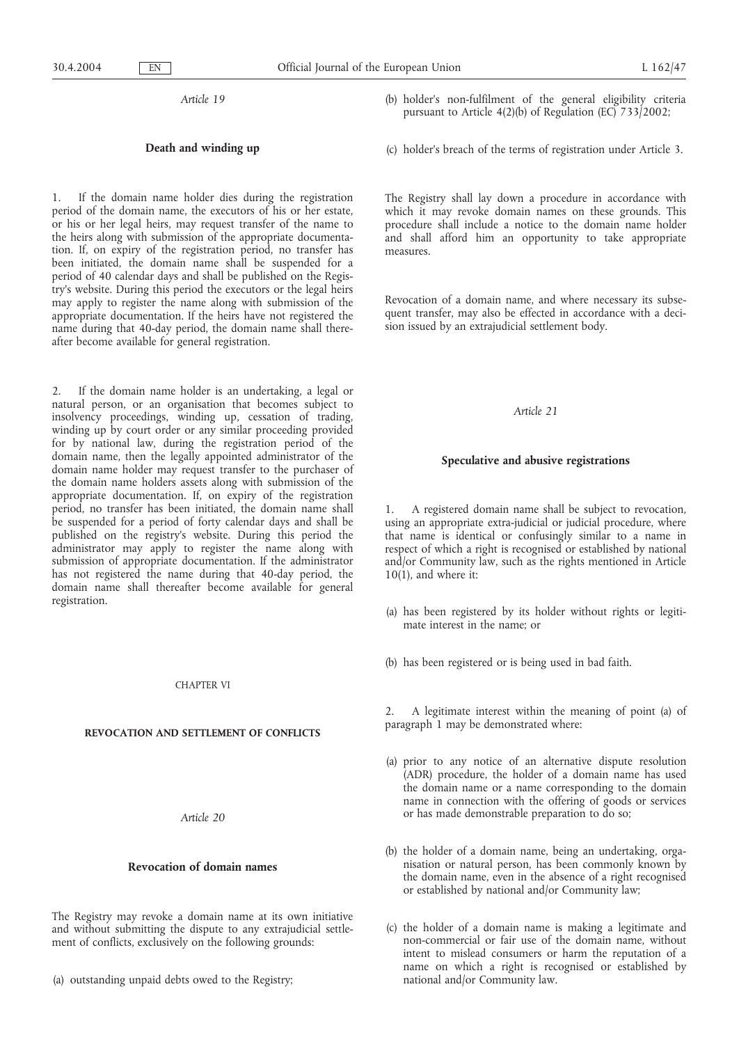*Article 19*

# **Death and winding up**

If the domain name holder dies during the registration period of the domain name, the executors of his or her estate, or his or her legal heirs, may request transfer of the name to the heirs along with submission of the appropriate documentation. If, on expiry of the registration period, no transfer has been initiated, the domain name shall be suspended for a period of 40 calendar days and shall be published on the Registry's website. During this period the executors or the legal heirs may apply to register the name along with submission of the appropriate documentation. If the heirs have not registered the name during that 40-day period, the domain name shall thereafter become available for general registration.

2. If the domain name holder is an undertaking, a legal or natural person, or an organisation that becomes subject to insolvency proceedings, winding up, cessation of trading, winding up by court order or any similar proceeding provided for by national law, during the registration period of the domain name, then the legally appointed administrator of the domain name holder may request transfer to the purchaser of the domain name holders assets along with submission of the appropriate documentation. If, on expiry of the registration period, no transfer has been initiated, the domain name shall be suspended for a period of forty calendar days and shall be published on the registry's website. During this period the administrator may apply to register the name along with submission of appropriate documentation. If the administrator has not registered the name during that 40-day period, the domain name shall thereafter become available for general registration.

### CHAPTER VI

## **REVOCATION AND SETTLEMENT OF CONFLICTS**

*Article 20*

## **Revocation of domain names**

The Registry may revoke a domain name at its own initiative and without submitting the dispute to any extrajudicial settlement of conflicts, exclusively on the following grounds:

(a) outstanding unpaid debts owed to the Registry;

(b) holder's non-fulfilment of the general eligibility criteria pursuant to Article 4(2)(b) of Regulation (EC) 733/2002;

(c) holder's breach of the terms of registration under Article 3.

The Registry shall lay down a procedure in accordance with which it may revoke domain names on these grounds. This procedure shall include a notice to the domain name holder and shall afford him an opportunity to take appropriate measures.

Revocation of a domain name, and where necessary its subsequent transfer, may also be effected in accordance with a decision issued by an extrajudicial settlement body.

## *Article 21*

### **Speculative and abusive registrations**

1. A registered domain name shall be subject to revocation, using an appropriate extra-judicial or judicial procedure, where that name is identical or confusingly similar to a name in respect of which a right is recognised or established by national and/or Community law, such as the rights mentioned in Article  $10(1)$ , and where it:

- (a) has been registered by its holder without rights or legitimate interest in the name; or
- (b) has been registered or is being used in bad faith.

2. A legitimate interest within the meaning of point (a) of paragraph 1 may be demonstrated where:

- (a) prior to any notice of an alternative dispute resolution (ADR) procedure, the holder of a domain name has used the domain name or a name corresponding to the domain name in connection with the offering of goods or services or has made demonstrable preparation to do so;
- (b) the holder of a domain name, being an undertaking, organisation or natural person, has been commonly known by the domain name, even in the absence of a right recognised or established by national and/or Community law;
- (c) the holder of a domain name is making a legitimate and non-commercial or fair use of the domain name, without intent to mislead consumers or harm the reputation of a name on which a right is recognised or established by national and/or Community law.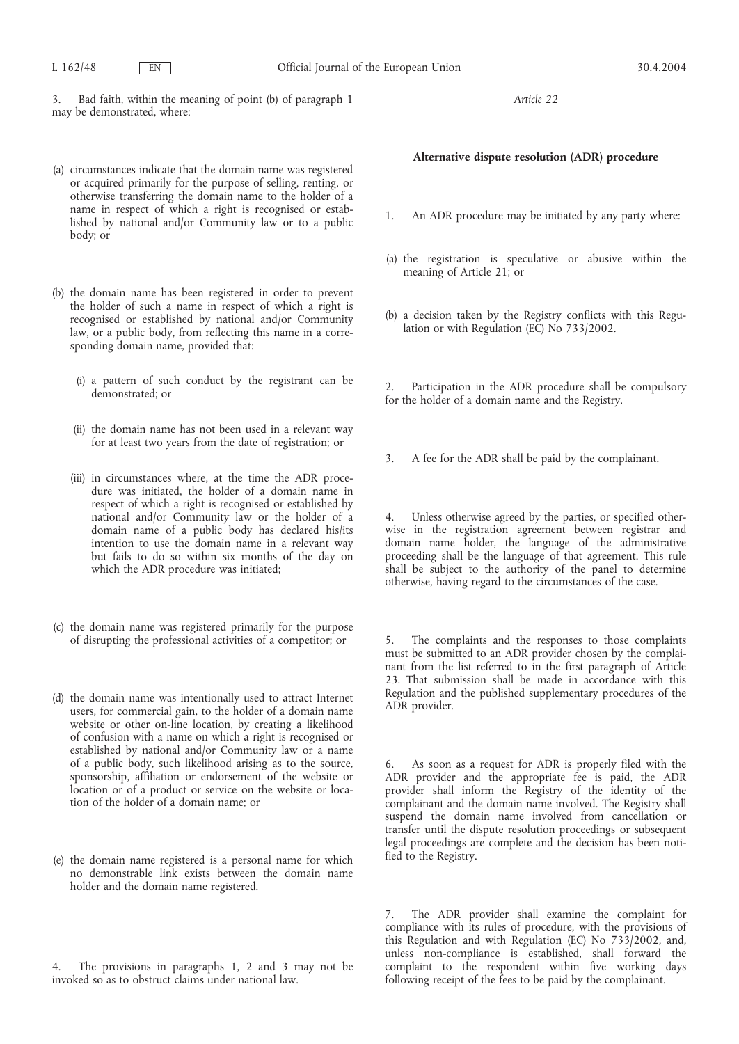3. Bad faith, within the meaning of point (b) of paragraph 1 may be demonstrated, where:

(a) circumstances indicate that the domain name was registered or acquired primarily for the purpose of selling, renting, or otherwise transferring the domain name to the holder of a name in respect of which a right is recognised or established by national and/or Community law or to a public body; or

- (b) the domain name has been registered in order to prevent the holder of such a name in respect of which a right is recognised or established by national and/or Community law, or a public body, from reflecting this name in a corresponding domain name, provided that:
	- (i) a pattern of such conduct by the registrant can be demonstrated; or
	- (ii) the domain name has not been used in a relevant way for at least two years from the date of registration; or
	- (iii) in circumstances where, at the time the ADR procedure was initiated, the holder of a domain name in respect of which a right is recognised or established by national and/or Community law or the holder of a domain name of a public body has declared his/its intention to use the domain name in a relevant way but fails to do so within six months of the day on which the ADR procedure was initiated;
- (c) the domain name was registered primarily for the purpose of disrupting the professional activities of a competitor; or
- (d) the domain name was intentionally used to attract Internet users, for commercial gain, to the holder of a domain name website or other on-line location, by creating a likelihood of confusion with a name on which a right is recognised or established by national and/or Community law or a name of a public body, such likelihood arising as to the source, sponsorship, affiliation or endorsement of the website or location or of a product or service on the website or location of the holder of a domain name; or
- (e) the domain name registered is a personal name for which no demonstrable link exists between the domain name holder and the domain name registered.
- The provisions in paragraphs 1, 2 and 3 may not be invoked so as to obstruct claims under national law.

*Article 22*

# **Alternative dispute resolution (ADR) procedure**

- 1. An ADR procedure may be initiated by any party where:
- (a) the registration is speculative or abusive within the meaning of Article 21; or
- (b) a decision taken by the Registry conflicts with this Regulation or with Regulation (EC) No 733/2002.

Participation in the ADR procedure shall be compulsory for the holder of a domain name and the Registry.

3. A fee for the ADR shall be paid by the complainant.

4. Unless otherwise agreed by the parties, or specified otherwise in the registration agreement between registrar and domain name holder, the language of the administrative proceeding shall be the language of that agreement. This rule shall be subject to the authority of the panel to determine otherwise, having regard to the circumstances of the case.

5. The complaints and the responses to those complaints must be submitted to an ADR provider chosen by the complainant from the list referred to in the first paragraph of Article 23. That submission shall be made in accordance with this Regulation and the published supplementary procedures of the ADR provider.

6. As soon as a request for ADR is properly filed with the ADR provider and the appropriate fee is paid, the ADR provider shall inform the Registry of the identity of the complainant and the domain name involved. The Registry shall suspend the domain name involved from cancellation or transfer until the dispute resolution proceedings or subsequent legal proceedings are complete and the decision has been notified to the Registry.

7. The ADR provider shall examine the complaint for compliance with its rules of procedure, with the provisions of this Regulation and with Regulation (EC) No 733/2002, and, unless non-compliance is established, shall forward the complaint to the respondent within five working days following receipt of the fees to be paid by the complainant.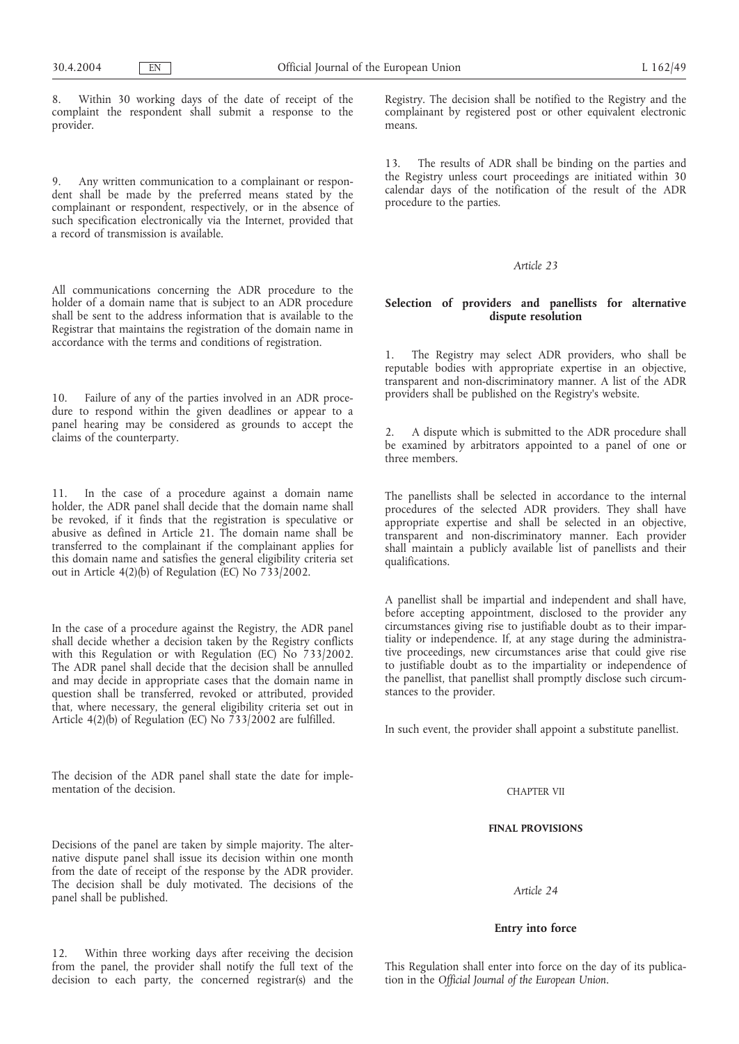8. Within 30 working days of the date of receipt of the complaint the respondent shall submit a response to the provider.

9. Any written communication to a complainant or respondent shall be made by the preferred means stated by the complainant or respondent, respectively, or in the absence of such specification electronically via the Internet, provided that a record of transmission is available.

All communications concerning the ADR procedure to the holder of a domain name that is subject to an ADR procedure shall be sent to the address information that is available to the Registrar that maintains the registration of the domain name in accordance with the terms and conditions of registration.

10. Failure of any of the parties involved in an ADR procedure to respond within the given deadlines or appear to a panel hearing may be considered as grounds to accept the claims of the counterparty.

11. In the case of a procedure against a domain name holder, the ADR panel shall decide that the domain name shall be revoked, if it finds that the registration is speculative or abusive as defined in Article 21. The domain name shall be transferred to the complainant if the complainant applies for this domain name and satisfies the general eligibility criteria set out in Article 4(2)(b) of Regulation (EC) No  $733/2002$ .

In the case of a procedure against the Registry, the ADR panel shall decide whether a decision taken by the Registry conflicts with this Regulation or with Regulation (EC) No 733/2002. The ADR panel shall decide that the decision shall be annulled and may decide in appropriate cases that the domain name in question shall be transferred, revoked or attributed, provided that, where necessary, the general eligibility criteria set out in Article 4(2)(b) of Regulation (EC) No 733/2002 are fulfilled.

The decision of the ADR panel shall state the date for implementation of the decision.

Decisions of the panel are taken by simple majority. The alternative dispute panel shall issue its decision within one month from the date of receipt of the response by the ADR provider. The decision shall be duly motivated. The decisions of the panel shall be published.

12. Within three working days after receiving the decision from the panel, the provider shall notify the full text of the decision to each party, the concerned registrar(s) and the Registry. The decision shall be notified to the Registry and the complainant by registered post or other equivalent electronic means.

13. The results of ADR shall be binding on the parties and the Registry unless court proceedings are initiated within 30 calendar days of the notification of the result of the ADR procedure to the parties.

# *Article 23*

# **Selection of providers and panellists for alternative dispute resolution**

1. The Registry may select ADR providers, who shall be reputable bodies with appropriate expertise in an objective, transparent and non-discriminatory manner. A list of the ADR providers shall be published on the Registry's website.

2. A dispute which is submitted to the ADR procedure shall be examined by arbitrators appointed to a panel of one or three members.

The panellists shall be selected in accordance to the internal procedures of the selected ADR providers. They shall have appropriate expertise and shall be selected in an objective, transparent and non-discriminatory manner. Each provider shall maintain a publicly available list of panellists and their qualifications.

A panellist shall be impartial and independent and shall have, before accepting appointment, disclosed to the provider any circumstances giving rise to justifiable doubt as to their impartiality or independence. If, at any stage during the administrative proceedings, new circumstances arise that could give rise to justifiable doubt as to the impartiality or independence of the panellist, that panellist shall promptly disclose such circumstances to the provider.

In such event, the provider shall appoint a substitute panellist.

## CHAPTER VII

# **FINAL PROVISIONS**

*Article 24*

## **Entry into force**

This Regulation shall enter into force on the day of its publication in the *Official Journal of the European Union*.